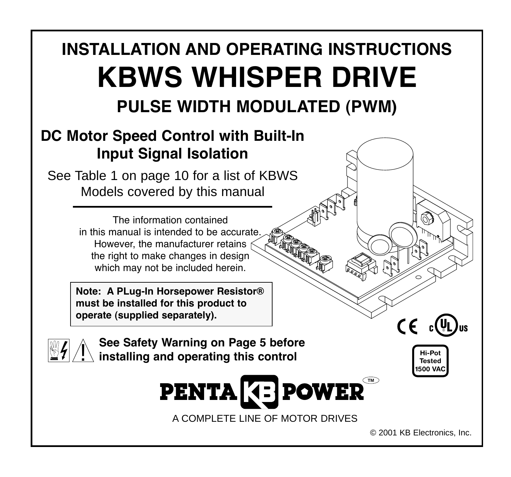# **INSTALLATION AND OPERATING INSTRUCTIONS KBWS WHISPER DRIVE PULSE WIDTH MODULATED (PWM)**

A COMPLETE LINE OF MOTOR DRIVES

**PENTA GE POWER** 

# **DC Motor Speed Control with Built-In Input Signal Isolation**

See Table 1 on page 10 for a list of KBWS Models covered by this manual

> The information contained in this manual is intended to be accurate However, the manufacturer retains the right to make changes in design which may not be included herein.

**Note: A PLug-In Horsepower Resistor® must be installed for this product to operate (supplied separately).**

! **See Safety Warning on Page 5 before installing and operating this control**

**Hi-Pot Tested 1500 VAC**

 $C \in \mathbb{C}^{(n)}$ 

© 2001 KB Electronics, Inc.

**TM**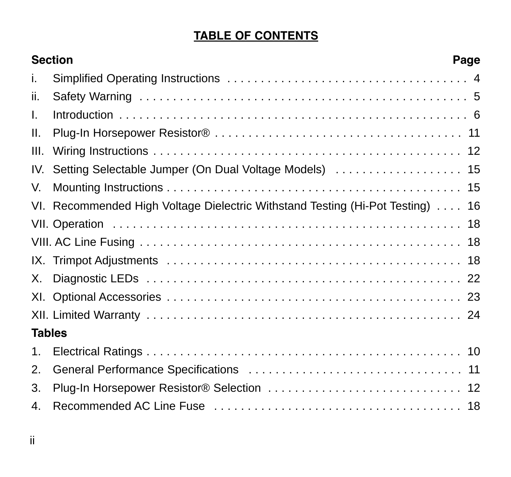# **TABLE OF CONTENTS**

|               | <b>Section</b><br>Page                                                        |  |  |  |  |
|---------------|-------------------------------------------------------------------------------|--|--|--|--|
| i.            |                                                                               |  |  |  |  |
| ii.           |                                                                               |  |  |  |  |
| I.            |                                                                               |  |  |  |  |
| Ш.            |                                                                               |  |  |  |  |
| III.          |                                                                               |  |  |  |  |
| IV.           | Setting Selectable Jumper (On Dual Voltage Models)  15                        |  |  |  |  |
| V.            |                                                                               |  |  |  |  |
|               | VI. Recommended High Voltage Dielectric Withstand Testing (Hi-Pot Testing) 16 |  |  |  |  |
|               |                                                                               |  |  |  |  |
|               |                                                                               |  |  |  |  |
|               |                                                                               |  |  |  |  |
| Х.            |                                                                               |  |  |  |  |
|               |                                                                               |  |  |  |  |
|               |                                                                               |  |  |  |  |
| <b>Tables</b> |                                                                               |  |  |  |  |
| 1.            |                                                                               |  |  |  |  |
| $\mathcal{P}$ |                                                                               |  |  |  |  |
| 3.            |                                                                               |  |  |  |  |
| 4.            |                                                                               |  |  |  |  |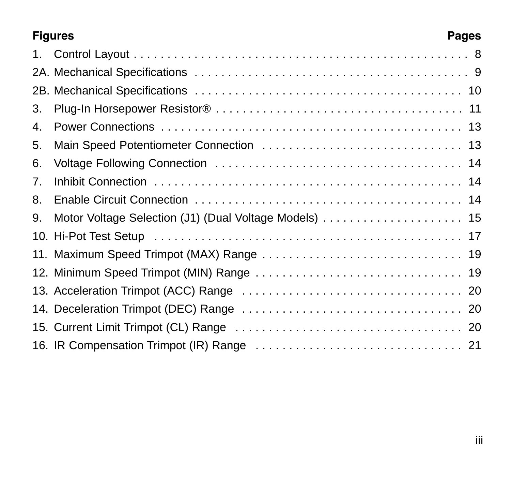# **Figures Pages**

| 1. |  |
|----|--|
|    |  |
|    |  |
| 3. |  |
| 4. |  |
| 5. |  |
| 6. |  |
| 7. |  |
| 8. |  |
| 9. |  |
|    |  |
|    |  |
|    |  |
|    |  |
|    |  |
|    |  |
|    |  |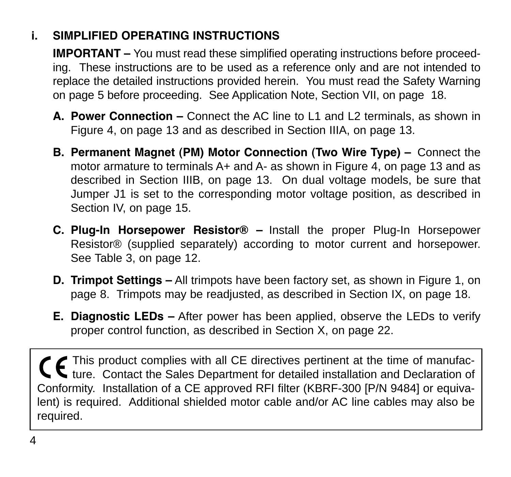# **i. SIMPLIFIED OPERATING INSTRUCTIONS**

**IMPORTANT –** You must read these simplified operating instructions before proceeding. These instructions are to be used as a reference only and are not intended to replace the detailed instructions provided herein. You must read the Safety Warning on page 5 before proceeding. See Application Note, Section VII, on page 18.

- **A. Power Connection –** Connect the AC line to L1 and L2 terminals, as shown in Figure 4, on page 13 and as described in Section IIIA, on page 13.
- **B. Permanent Magnet (PM) Motor Connection (Two Wire Type) –** Connect the motor armature to terminals A+ and A- as shown in Figure 4, on page 13 and as described in Section IIIB, on page 13. On dual voltage models, be sure that Jumper J1 is set to the corresponding motor voltage position, as described in Section IV, on page 15.
- **C. Plug-In Horsepower Resistor® –** Install the proper Plug-In Horsepower Resistor® (supplied separately) according to motor current and horsepower. See Table 3, on page 12.
- **D. Trimpot Settings –** All trimpots have been factory set, as shown in Figure 1, on page 8. Trimpots may be readjusted, as described in Section IX, on page 18.
- **E. Diagnostic LEDs –** After power has been applied, observe the LEDs to verify proper control function, as described in Section X, on page 22.

This product complies with all CE directives pertinent at the time of manufacture. Contact the Sales Department for detailed installation and Declaration of Conformity. Installation of a CE approved RFI filter (KBRF-300 [P/N 9484] or equivalent) is required. Additional shielded motor cable and/or AC line cables may also be required.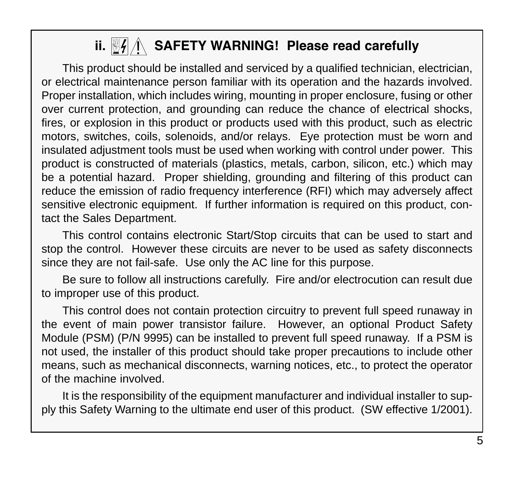# ii. <u><sup>图</sup>//\</u>\ SAFETY WARNING! Please read carefully

This product should be installed and serviced by a qualified technician, electrician, or electrical maintenance person familiar with its operation and the hazards involved. Proper installation, which includes wiring, mounting in proper enclosure, fusing or other over current protection, and grounding can reduce the chance of electrical shocks, fires, or explosion in this product or products used with this product, such as electric motors, switches, coils, solenoids, and/or relays. Eye protection must be worn and insulated adjustment tools must be used when working with control under power. This product is constructed of materials (plastics, metals, carbon, silicon, etc.) which may be a potential hazard. Proper shielding, grounding and filtering of this product can reduce the emission of radio frequency interference (RFI) which may adversely affect sensitive electronic equipment. If further information is required on this product, contact the Sales Department.

This control contains electronic Start/Stop circuits that can be used to start and stop the control. However these circuits are never to be used as safety disconnects since they are not fail-safe. Use only the AC line for this purpose.

Be sure to follow all instructions carefully. Fire and/or electrocution can result due to improper use of this product.

This control does not contain protection circuitry to prevent full speed runaway in the event of main power transistor failure. However, an optional Product Safety Module (PSM) (P/N 9995) can be installed to prevent full speed runaway. If a PSM is not used, the installer of this product should take proper precautions to include other means, such as mechanical disconnects, warning notices, etc., to protect the operator of the machine involved.

It is the responsibility of the equipment manufacturer and individual installer to supply this Safety Warning to the ultimate end user of this product. (SW effective 1/2001).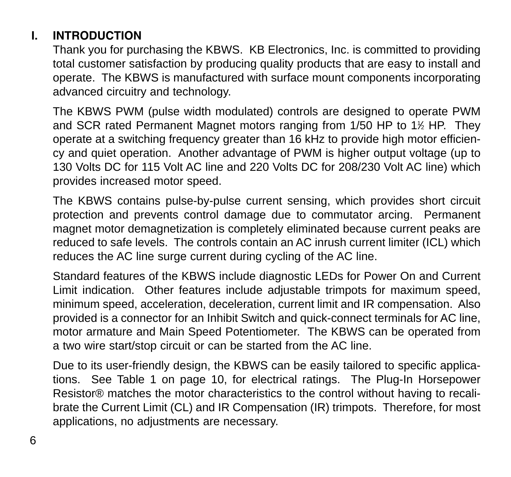# **I. INTRODUCTION**

Thank you for purchasing the KBWS. KB Electronics, Inc. is committed to providing total customer satisfaction by producing quality products that are easy to install and operate. The KBWS is manufactured with surface mount components incorporating advanced circuitry and technology.

The KBWS PWM (pulse width modulated) controls are designed to operate PWM and SCR rated Permanent Magnet motors ranging from 1/50 HP to 1½ HP. They operate at a switching frequency greater than 16 kHz to provide high motor efficiency and quiet operation. Another advantage of PWM is higher output voltage (up to 130 Volts DC for 115 Volt AC line and 220 Volts DC for 208/230 Volt AC line) which provides increased motor speed.

The KBWS contains pulse-by-pulse current sensing, which provides short circuit protection and prevents control damage due to commutator arcing. Permanent magnet motor demagnetization is completely eliminated because current peaks are reduced to safe levels. The controls contain an AC inrush current limiter (ICL) which reduces the AC line surge current during cycling of the AC line.

Standard features of the KBWS include diagnostic LEDs for Power On and Current Limit indication. Other features include adjustable trimpots for maximum speed, minimum speed, acceleration, deceleration, current limit and IR compensation. Also provided is a connector for an Inhibit Switch and quick-connect terminals for AC line, motor armature and Main Speed Potentiometer. The KBWS can be operated from a two wire start/stop circuit or can be started from the AC line.

Due to its user-friendly design, the KBWS can be easily tailored to specific applications. See Table 1 on page 10, for electrical ratings. The Plug-In Horsepower Resistor® matches the motor characteristics to the control without having to recalibrate the Current Limit (CL) and IR Compensation (IR) trimpots. Therefore, for most applications, no adjustments are necessary.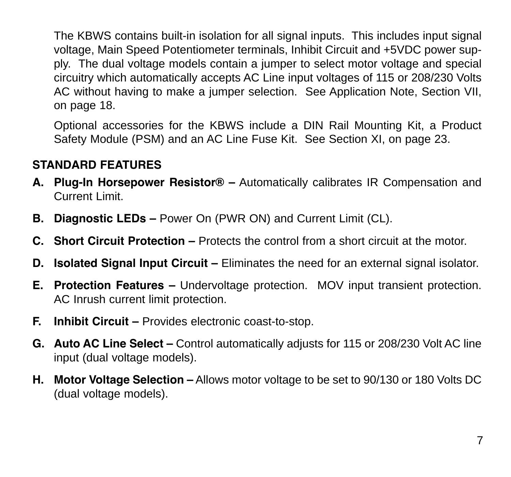The KBWS contains built-in isolation for all signal inputs. This includes input signal voltage, Main Speed Potentiometer terminals, Inhibit Circuit and +5VDC power supply. The dual voltage models contain a jumper to select motor voltage and special circuitry which automatically accepts AC Line input voltages of 115 or 208/230 Volts AC without having to make a jumper selection. See Application Note, Section VII, on page 18.

Optional accessories for the KBWS include a DIN Rail Mounting Kit, a Product Safety Module (PSM) and an AC Line Fuse Kit. See Section XI, on page 23.

# **STANDARD FEATURES**

- **A. Plug-In Horsepower Resistor® –** Automatically calibrates IR Compensation and Current Limit.
- **B. Diagnostic LEDs** Power On (PWR ON) and Current Limit (CL).
- **C. Short Circuit Protection –** Protects the control from a short circuit at the motor.
- **D. Isolated Signal Input Circuit –** Eliminates the need for an external signal isolator.
- **E. Protection Features –** Undervoltage protection. MOV input transient protection. AC Inrush current limit protection.
- **F. Inhibit Circuit –** Provides electronic coast-to-stop.
- **G. Auto AC Line Select –** Control automatically adjusts for 115 or 208/230 Volt AC line input (dual voltage models).
- **H. Motor Voltage Selection –** Allows motor voltage to be set to 90/130 or 180 Volts DC (dual voltage models).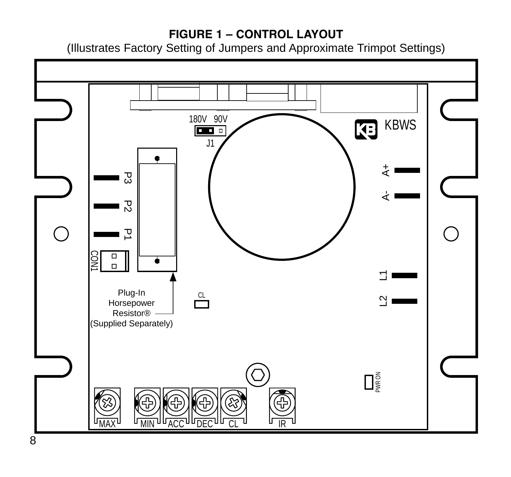# **FIGURE 1 – CONTROL LAYOUT**

(Illustrates Factory Setting of Jumpers and Approximate Trimpot Settings)

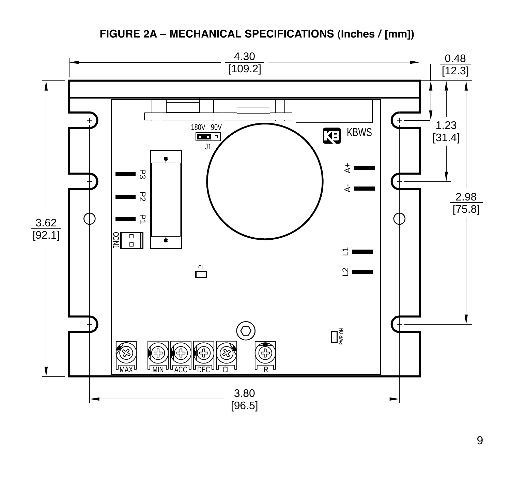### **FIGURE 2A – MECHANICAL SPECIFICATIONS (Inches / [mm])**

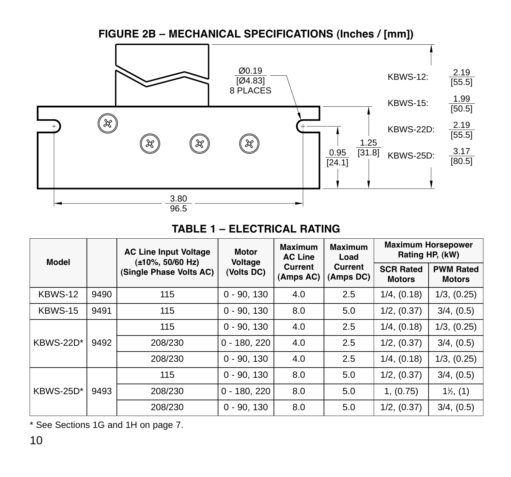#### **FIGURE 2B – MECHANICAL SPECIFICATIONS (Inches / [mm])** Ø0.19 KBWS-12:  $\frac{2.19}{[55.5]}$ [Ø4.83] 8 PLACES 1.99 KBWS-15: [50.5]  $\circledR$ 2.19 KBWS-22D: [55.5]  $\circledR$ (X) (x) | 1.25<br>| 0.95 0.95 0.8]<br>| 124.1] 3.17 KBWS-25D:  $[80.5]$ 3.80 96.5

### **TABLE 1 – ELECTRICAL RATING**

| Model     |      | <b>AC Line Input Voltage</b><br>(±10%, 50/60 Hz)<br>(Single Phase Volts AC) | Motor<br>Voltage<br>(Volts DC) | Maximum<br><b>AC Line</b><br>Current<br>(Amps AC) | Maximum<br>Load<br>Current<br>(Amps DC) | <b>Maximum Horsepower</b><br>Rating HP, (kW) |                                   |
|-----------|------|-----------------------------------------------------------------------------|--------------------------------|---------------------------------------------------|-----------------------------------------|----------------------------------------------|-----------------------------------|
|           |      |                                                                             |                                |                                                   |                                         | <b>SCR Rated</b><br><b>Motors</b>            | <b>PWM Rated</b><br><b>Motors</b> |
| KBWS-12   | 9490 | 115                                                                         | $0 - 90.130$                   | 4.0                                               | 2.5                                     | 1/4, (0.18)                                  | 1/3, (0.25)                       |
| KBWS-15   | 9491 | 115                                                                         | $0 - 90.130$                   | 8.0                                               | 5.0                                     | 1/2, (0.37)                                  | 3/4, (0.5)                        |
|           | 9492 | 115                                                                         | $0 - 90.130$                   | 4.0                                               | 2.5                                     | 1/4, (0.18)                                  | 1/3, (0.25)                       |
| KBWS-22D* |      | 208/230                                                                     | $0 - 180.220$                  | 4.0                                               | 2.5                                     | 1/2, (0.37)                                  | 3/4, (0.5)                        |
|           |      | 208/230                                                                     | $0 - 90.130$                   | 4.0                                               | 2.5                                     | 1/4, (0.18)                                  | 1/3, (0.25)                       |
|           |      | 115                                                                         | $0 - 90.130$                   | 8.0                                               | 5.0                                     | 1/2, (0.37)                                  | 3/4, (0.5)                        |
| KBWS-25D* | 9493 | 208/230                                                                     | $0 - 180.220$                  | 8.0                                               | 5.0                                     | 1, (0.75)                                    | $1\%, (1)$                        |
|           |      | 208/230                                                                     | $0 - 90.130$                   | 8.0                                               | 5.0                                     | 1/2, (0.37)                                  | 3/4, (0.5)                        |

\* See Sections 1G and 1H on page 7.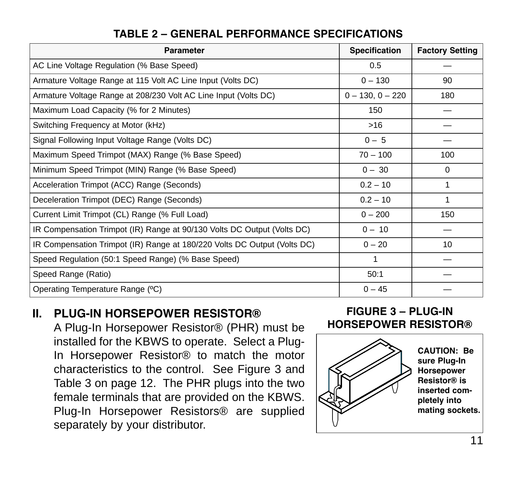| Parameter                                                                | <b>Specification</b> | <b>Factory Setting</b> |
|--------------------------------------------------------------------------|----------------------|------------------------|
| AC Line Voltage Regulation (% Base Speed)                                | 0.5                  |                        |
| Armature Voltage Range at 115 Volt AC Line Input (Volts DC)              | $0 - 130$            | 90                     |
| Armature Voltage Range at 208/230 Volt AC Line Input (Volts DC)          | $0 - 130, 0 - 220$   | 180                    |
| Maximum Load Capacity (% for 2 Minutes)                                  | 150                  |                        |
| Switching Frequency at Motor (kHz)                                       | >16                  |                        |
| Signal Following Input Voltage Range (Volts DC)                          | $0 - 5$              |                        |
| Maximum Speed Trimpot (MAX) Range (% Base Speed)                         | $70 - 100$           | 100                    |
| Minimum Speed Trimpot (MIN) Range (% Base Speed)                         | $0 - 30$             | 0                      |
| Acceleration Trimpot (ACC) Range (Seconds)                               | $0.2 - 10$           | 1                      |
| Deceleration Trimpot (DEC) Range (Seconds)                               | $0.2 - 10$           | 1                      |
| Current Limit Trimpot (CL) Range (% Full Load)                           | $0 - 200$            | 150                    |
| IR Compensation Trimpot (IR) Range at 90/130 Volts DC Output (Volts DC)  | $0 - 10$             |                        |
| IR Compensation Trimpot (IR) Range at 180/220 Volts DC Output (Volts DC) | $0 - 20$             | 10                     |
| Speed Regulation (50:1 Speed Range) (% Base Speed)                       | 1                    |                        |
| Speed Range (Ratio)                                                      | 50:1                 |                        |
| Operating Temperature Range (°C)                                         | $0 - 45$             |                        |

# **TABLE 2 – GENERAL PERFORMANCE SPECIFICATIONS**

# **II. PLUG-IN HORSEPOWER RESISTOR®**

A Plug-In Horsepower Resistor® (PHR) must be installed for the KBWS to operate. Select a Plug-In Horsepower Resistor® to match the motor characteristics to the control. See Figure 3 and Table 3 on page 12. The PHR plugs into the two female terminals that are provided on the KBWS. Plug-In Horsepower Resistors® are supplied separately by your distributor.

#### **FIGURE 3 – PLUG-IN HORSEPOWER RESISTOR®**

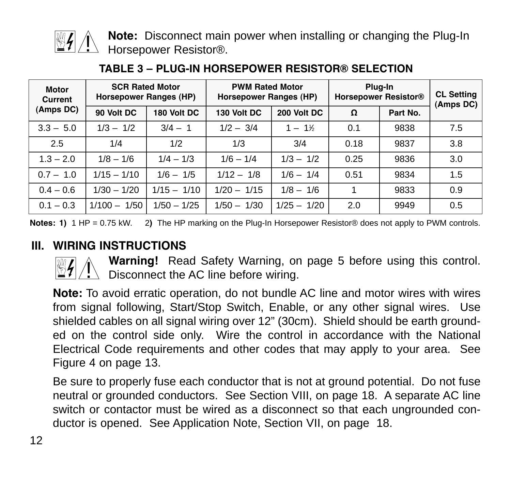

**Note:** Disconnect main power when installing or changing the Plug-In  $\perp$  Horsepower Resistor®.

| Motor<br>Current |                | <b>SCR Rated Motor</b><br>Horsepower Ranges (HP) | <b>PWM Rated Motor</b><br>Horsepower Ranges (HP) |               | Plua-In<br><b>Horsepower Resistor®</b> |          | <b>CL Setting</b><br>(Amps DC) |
|------------------|----------------|--------------------------------------------------|--------------------------------------------------|---------------|----------------------------------------|----------|--------------------------------|
| (Amps DC)        | 90 Volt DC     | 180 Volt DC                                      | 130 Volt DC                                      | 200 Volt DC   | Ω                                      | Part No. |                                |
| $3.3 - 5.0$      | $1/3 - 1/2$    | $3/4 - 1$                                        | $1/2 - 3/4$                                      | $1 - 1%$      | 0.1                                    | 9838     | 7.5                            |
| 2.5              | 1/4            | 1/2                                              | 1/3                                              | 3/4           | 0.18                                   | 9837     | 3.8                            |
| $1.3 - 2.0$      | $1/8 - 1/6$    | $1/4 - 1/3$                                      | $1/6 - 1/4$                                      | $1/3 - 1/2$   | 0.25                                   | 9836     | 3.0                            |
| $0.7 - 1.0$      | $1/15 - 1/10$  | $1/6 - 1/5$                                      | $1/12 - 1/8$                                     | $1/6 - 1/4$   | 0.51                                   | 9834     | 1.5                            |
| $0.4 - 0.6$      | $1/30 - 1/20$  | $1/15 - 1/10$                                    | $1/20 - 1/15$                                    | $1/8 - 1/6$   |                                        | 9833     | 0.9                            |
| $0.1 - 0.3$      | $1/100 - 1/50$ | $1/50 - 1/25$                                    | $1/50 - 1/30$                                    | $1/25 - 1/20$ | 2.0                                    | 9949     | 0.5                            |

#### **TABLE 3 – PLUG-IN HORSEPOWER RESISTOR® SELECTION**

**Notes: 1)** 1 HP = 0.75 kW. 2**)** The HP marking on the Plug-In Horsepower Resistor® does not apply to PWM controls.

## **III. WIRING INSTRUCTIONS**



**Warning!** Read Safety Warning, on page 5 before using this control. **N warning**: Read Salety warning, or<br>Disconnect the AC line before wiring.

**Note:** To avoid erratic operation, do not bundle AC line and motor wires with wires from signal following, Start/Stop Switch, Enable, or any other signal wires. Use shielded cables on all signal wiring over 12" (30cm). Shield should be earth grounded on the control side only. Wire the control in accordance with the National Electrical Code requirements and other codes that may apply to your area. See Figure 4 on page 13.

Be sure to properly fuse each conductor that is not at ground potential. Do not fuse neutral or grounded conductors. See Section VIII, on page 18. A separate AC line switch or contactor must be wired as a disconnect so that each ungrounded conductor is opened. See Application Note, Section VII, on page 18.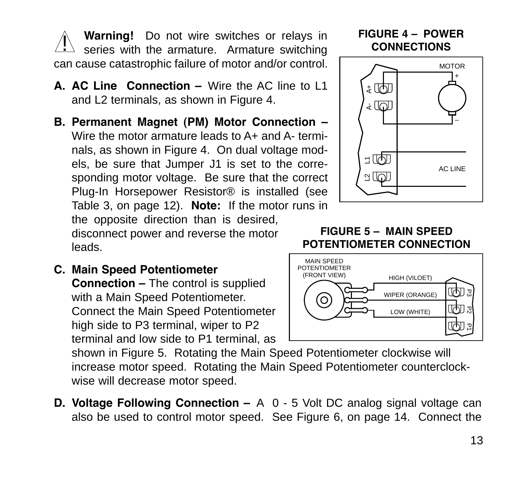**Warning!** Do not wire switches or relays in series with the armature. Armature switching can cause catastrophic failure of motor and/or control. !

- **A. AC Line Connection –** Wire the AC line to L1 and L2 terminals, as shown in Figure 4.
- **B. Permanent Magnet (PM) Motor Connection –** Wire the motor armature leads to A+ and A- terminals, as shown in Figure 4. On dual voltage models, be sure that Jumper J1 is set to the corresponding motor voltage. Be sure that the correct Plug-In Horsepower Resistor® is installed (see Table 3, on page 12). **Note:** If the motor runs in the opposite direction than is desired,

disconnect power and reverse the motor leads.

**C. Main Speed Potentiometer**

**Connection –** The control is supplied with a Main Speed Potentiometer. Connect the Main Speed Potentiometer high side to P3 terminal, wiper to P2 terminal and low side to P1 terminal, as

shown in Figure 5. Rotating the Main Speed Potentiometer clockwise will increase motor speed. Rotating the Main Speed Potentiometer counterclockwise will decrease motor speed.

**D. Voltage Following Connection –** A 0 - 5 Volt DC analog signal voltage can also be used to control motor speed. See Figure 6, on page 14. Connect the

### **FIGURE 4 – POWER CONNECTIONS**



#### **FIGURE 5 – MAIN SPEED POTENTIOMETER CONNECTION**

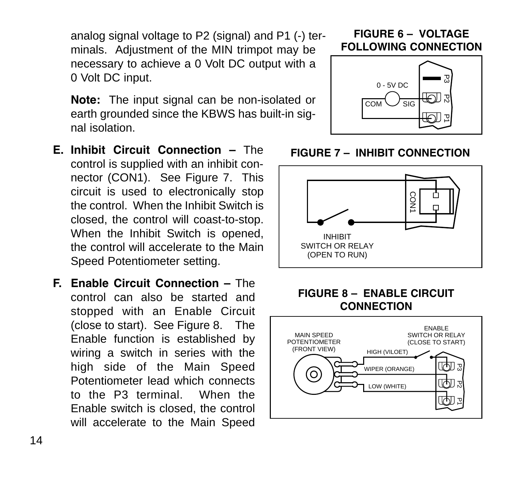analog signal voltage to P2 (signal) and P1 (-) terminals. Adjustment of the MIN trimpot may be necessary to achieve a 0 Volt DC output with a 0 Volt DC input.

**Note:** The input signal can be non-isolated or earth grounded since the KBWS has built-in signal isolation.

- **E. Inhibit Circuit Connection** The control is supplied with an inhibit connector (CON1). See Figure 7. This circuit is used to electronically stop the control. When the Inhibit Switch is closed, the control will coast-to-stop. When the Inhibit Switch is opened, the control will accelerate to the Main Speed Potentiometer setting.
- **F. Enable Circuit Connection –** The control can also be started and stopped with an Enable Circuit (close to start). See Figure 8. The Enable function is established by wiring a switch in series with the high side of the Main Speed Potentiometer lead which connects to the P3 terminal. When the Enable switch is closed, the control will accelerate to the Main Speed

### **FIGURE 6 – VOLTAGE FOLLOWING CONNECTION**





# **FIGURE 8 – ENABLE CIRCUIT**



### **FIGURE 7 – INHIBIT CONNECTION**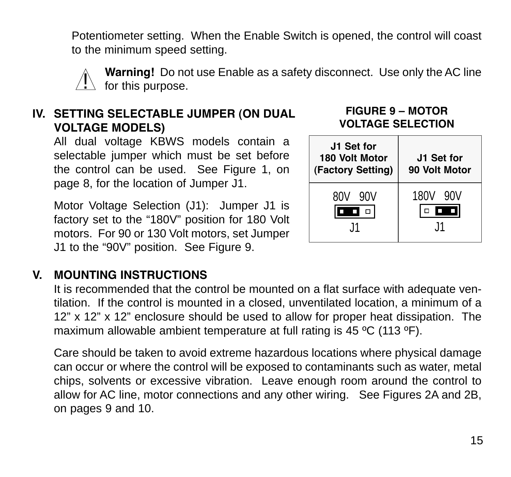Potentiometer setting. When the Enable Switch is opened, the control will coast to the minimum speed setting.



**Warning!** Do not use Enable as a safety disconnect. Use only the AC line  $\sum$  for this purpose.

# **IV. SETTING SELECTABLE JUMPER (ON DUAL VOLTAGE MODELS)**

All dual voltage KBWS models contain a selectable jumper which must be set before the control can be used. See Figure 1, on page 8, for the location of Jumper J1.

Motor Voltage Selection (J1): Jumper J1 is factory set to the "180V" position for 180 Volt motors. For 90 or 130 Volt motors, set Jumper J1 to the "90V" position. See Figure 9.

#### **FIGURE 9 – MOTOR VOLTAGE SELECTION**



# **V. MOUNTING INSTRUCTIONS**

It is recommended that the control be mounted on a flat surface with adequate ventilation. If the control is mounted in a closed, unventilated location, a minimum of a 12" x 12" x 12" enclosure should be used to allow for proper heat dissipation. The maximum allowable ambient temperature at full rating is 45 ºC (113 ºF).

Care should be taken to avoid extreme hazardous locations where physical damage can occur or where the control will be exposed to contaminants such as water, metal chips, solvents or excessive vibration. Leave enough room around the control to allow for AC line, motor connections and any other wiring. See Figures 2A and 2B, on pages 9 and 10.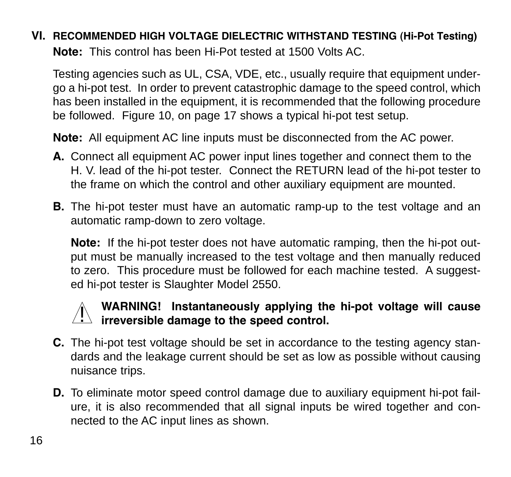# **VI. RECOMMENDED HIGH VOLTAGE DIELECTRIC WITHSTAND TESTING (Hi-Pot Testing) Note:** This control has been Hi-Pot tested at 1500 Volts AC.

Testing agencies such as UL, CSA, VDE, etc., usually require that equipment undergo a hi-pot test. In order to prevent catastrophic damage to the speed control, which has been installed in the equipment, it is recommended that the following procedure be followed. Figure 10, on page 17 shows a typical hi-pot test setup.

**Note:** All equipment AC line inputs must be disconnected from the AC power.

- **A.** Connect all equipment AC power input lines together and connect them to the H. V. lead of the hi-pot tester. Connect the RETURN lead of the hi-pot tester to the frame on which the control and other auxiliary equipment are mounted.
- **B.** The hi-pot tester must have an automatic ramp-up to the test voltage and an automatic ramp-down to zero voltage.

**Note:** If the hi-pot tester does not have automatic ramping, then the hi-pot output must be manually increased to the test voltage and then manually reduced to zero. This procedure must be followed for each machine tested. A suggested hi-pot tester is Slaughter Model 2550.

# **WARNING! Instantaneously applying the hi-pot voltage will cause independing** the standaneously applying the speed control.

- **C.** The hi-pot test voltage should be set in accordance to the testing agency standards and the leakage current should be set as low as possible without causing nuisance trips.
- **D.** To eliminate motor speed control damage due to auxiliary equipment hi-pot failure, it is also recommended that all signal inputs be wired together and connected to the AC input lines as shown.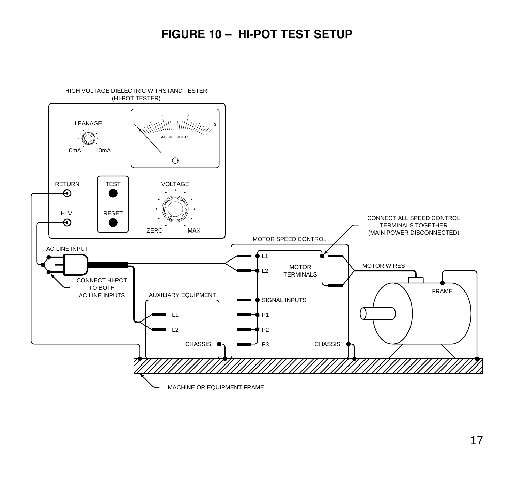# **FIGURE 10 – HI-POT TEST SETUP**

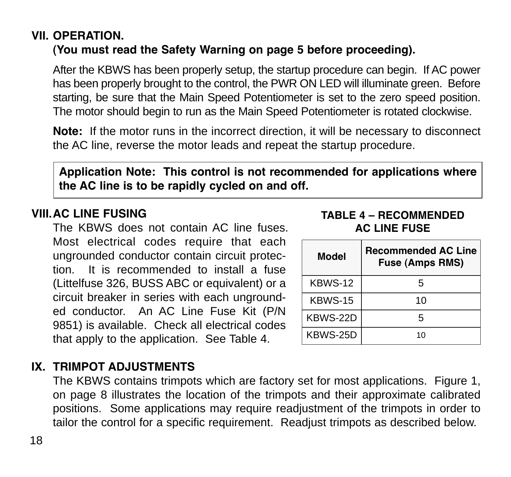### **VII. OPERATION. (You must read the Safety Warning on page 5 before proceeding).**

After the KBWS has been properly setup, the startup procedure can begin. If AC power has been properly brought to the control, the PWR ON LED will illuminate green. Before starting, be sure that the Main Speed Potentiometer is set to the zero speed position. The motor should begin to run as the Main Speed Potentiometer is rotated clockwise.

**Note:** If the motor runs in the incorrect direction, it will be necessary to disconnect the AC line, reverse the motor leads and repeat the startup procedure.

**Application Note: This control is not recommended for applications where the AC line is to be rapidly cycled on and off.**

# **VIII.AC LINE FUSING**

The KBWS does not contain AC line fuses. Most electrical codes require that each ungrounded conductor contain circuit protection. It is recommended to install a fuse (Littelfuse 326, BUSS ABC or equivalent) or a circuit breaker in series with each ungrounded conductor. An AC Line Fuse Kit (P/N 9851) is available. Check all electrical codes that apply to the application. See Table 4.

| Model    | Recommended AC Line<br>Fuse (Amps RMS) |
|----------|----------------------------------------|
| KBWS-12  | г,                                     |
| KBWS-15  | 10                                     |
| KBWS-22D | г,                                     |
| KBWS-25D | 10                                     |

**TABLE 4 – RECOMMENDED AC LINE FUSE**

# **IX. TRIMPOT ADJUSTMENTS**

The KBWS contains trimpots which are factory set for most applications. Figure 1, on page 8 illustrates the location of the trimpots and their approximate calibrated positions. Some applications may require readjustment of the trimpots in order to tailor the control for a specific requirement. Readjust trimpots as described below.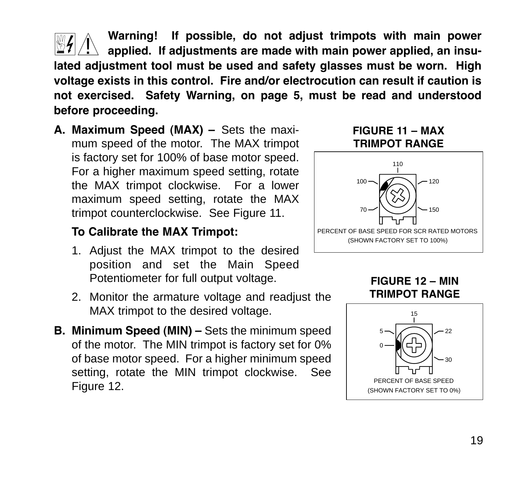**Warning! If possible, do not adjust trimpots with main power applied. If adjustments are made with main power applied, an insulated adjustment tool must be used and safety glasses must be worn. High voltage exists in this control. Fire and/or electrocution can result if caution is not exercised. Safety Warning, on page 5, must be read and understood before proceeding.** !

**A. Maximum Speed (MAX) –** Sets the maximum speed of the motor. The MAX trimpot is factory set for 100% of base motor speed. For a higher maximum speed setting, rotate the MAX trimpot clockwise. For a lower maximum speed setting, rotate the MAX trimpot counterclockwise. See Figure 11.

# **To Calibrate the MAX Trimpot:**

- 1. Adjust the MAX trimpot to the desired position and set the Main Speed Potentiometer for full output voltage.
- 2. Monitor the armature voltage and readjust the MAX trimpot to the desired voltage.
- **B. Minimum Speed (MIN) –** Sets the minimum speed of the motor. The MIN trimpot is factory set for 0% of base motor speed. For a higher minimum speed setting, rotate the MIN trimpot clockwise. See Figure 12.

### **FIGURE 11 – MAX TRIMPOT RANGE**



**FIGURE 12 – MIN TRIMPOT RANGE**

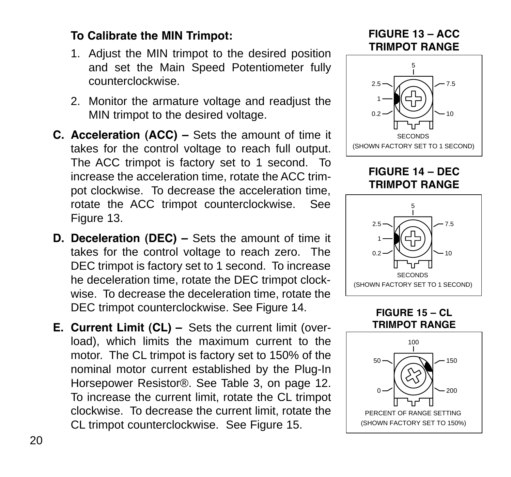# **To Calibrate the MIN Trimpot:**

- 1. Adjust the MIN trimpot to the desired position and set the Main Speed Potentiometer fully counterclockwise.
- 2. Monitor the armature voltage and readjust the MIN trimpot to the desired voltage.
- **C. Acceleration (ACC) –** Sets the amount of time it takes for the control voltage to reach full output. The ACC trimpot is factory set to 1 second. To increase the acceleration time, rotate the ACC trimpot clockwise. To decrease the acceleration time, rotate the ACC trimpot counterclockwise. See Figure 13.
- **D. Deceleration (DEC) –** Sets the amount of time it takes for the control voltage to reach zero. The DEC trimpot is factory set to 1 second. To increase he deceleration time, rotate the DEC trimpot clockwise. To decrease the deceleration time, rotate the DEC trimpot counterclockwise. See Figure 14.
- **E. Current Limit (CL) –** Sets the current limit (overload), which limits the maximum current to the motor. The CL trimpot is factory set to 150% of the nominal motor current established by the Plug-In Horsepower Resistor®. See Table 3, on page 12. To increase the current limit, rotate the CL trimpot clockwise. To decrease the current limit, rotate the CL trimpot counterclockwise. See Figure 15.

**FIGURE 13 – ACC TRIMPOT RANGE**



**FIGURE 14 – DEC TRIMPOT RANGE**



**FIGURE 15 – CL TRIMPOT RANGE**

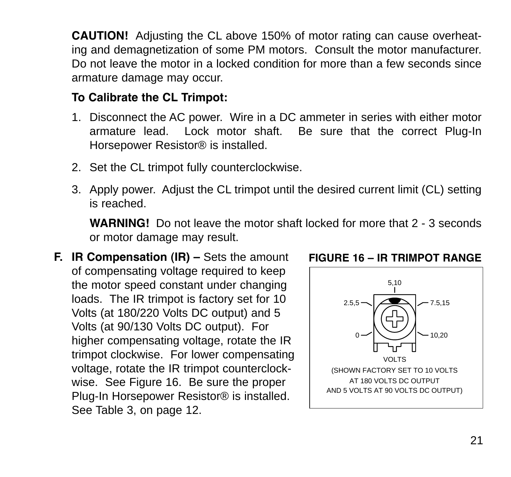**CAUTION!** Adjusting the CL above 150% of motor rating can cause overheating and demagnetization of some PM motors. Consult the motor manufacturer. Do not leave the motor in a locked condition for more than a few seconds since armature damage may occur.

# **To Calibrate the CL Trimpot:**

- 1. Disconnect the AC power. Wire in a DC ammeter in series with either motor armature lead. Lock motor shaft. Be sure that the correct Plug-In Horsepower Resistor® is installed.
- 2. Set the CL trimpot fully counterclockwise.
- 3. Apply power. Adjust the CL trimpot until the desired current limit (CL) setting is reached.

**WARNING!** Do not leave the motor shaft locked for more that 2 - 3 seconds or motor damage may result.

**F. IR Compensation (IR) –** Sets the amount of compensating voltage required to keep the motor speed constant under changing loads. The IR trimpot is factory set for 10 Volts (at 180/220 Volts DC output) and 5 Volts (at 90/130 Volts DC output). For higher compensating voltage, rotate the IR trimpot clockwise. For lower compensating voltage, rotate the IR trimpot counterclockwise. See Figure 16. Be sure the proper Plug-In Horsepower Resistor® is installed. See Table 3, on page 12.



#### **FIGURE 16 – IR TRIMPOT RANGE**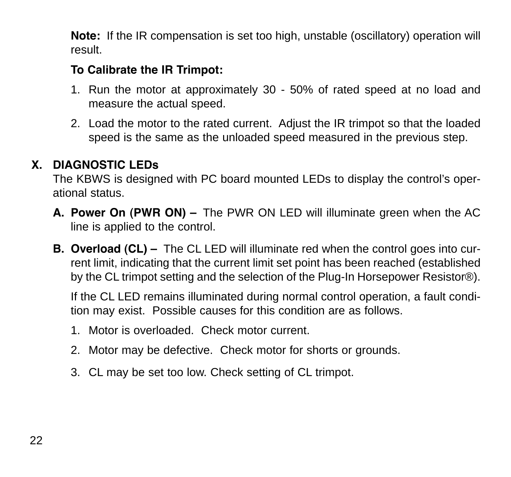**Note:** If the IR compensation is set too high, unstable (oscillatory) operation will result.

# **To Calibrate the IR Trimpot:**

- 1. Run the motor at approximately 30 50% of rated speed at no load and measure the actual speed.
- 2. Load the motor to the rated current. Adjust the IR trimpot so that the loaded speed is the same as the unloaded speed measured in the previous step.

# **X. DIAGNOSTIC LEDs**

The KBWS is designed with PC board mounted LEDs to display the control's operational status.

- **A. Power On (PWR ON) –** The PWR ON LED will illuminate green when the AC line is applied to the control.
- **B. Overload (CL)** The CL LED will illuminate red when the control goes into current limit, indicating that the current limit set point has been reached (established by the CL trimpot setting and the selection of the Plug-In Horsepower Resistor®).

If the CL LED remains illuminated during normal control operation, a fault condition may exist. Possible causes for this condition are as follows.

- 1. Motor is overloaded. Check motor current.
- 2. Motor may be defective. Check motor for shorts or grounds.
- 3. CL may be set too low. Check setting of CL trimpot.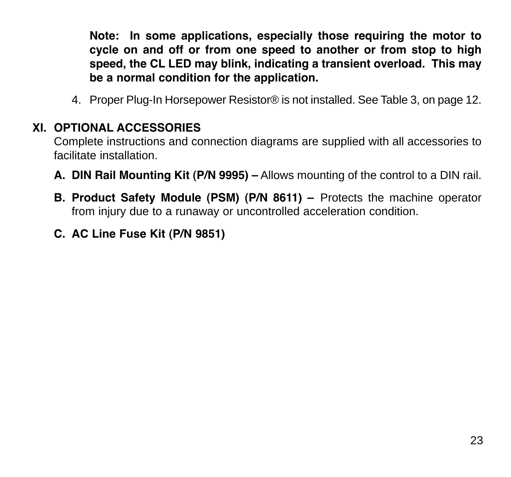**Note: In some applications, especially those requiring the motor to cycle on and off or from one speed to another or from stop to high speed, the CL LED may blink, indicating a transient overload. This may be a normal condition for the application.**

4. Proper Plug-In Horsepower Resistor® is not installed. See Table 3, on page 12.

# **XI. OPTIONAL ACCESSORIES**

Complete instructions and connection diagrams are supplied with all accessories to facilitate installation.

- **A. DIN Rail Mounting Kit (P/N 9995) –** Allows mounting of the control to a DIN rail.
- **B. Product Safety Module (PSM) (P/N 8611) –** Protects the machine operator from injury due to a runaway or uncontrolled acceleration condition.
- **C. AC Line Fuse Kit (P/N 9851)**